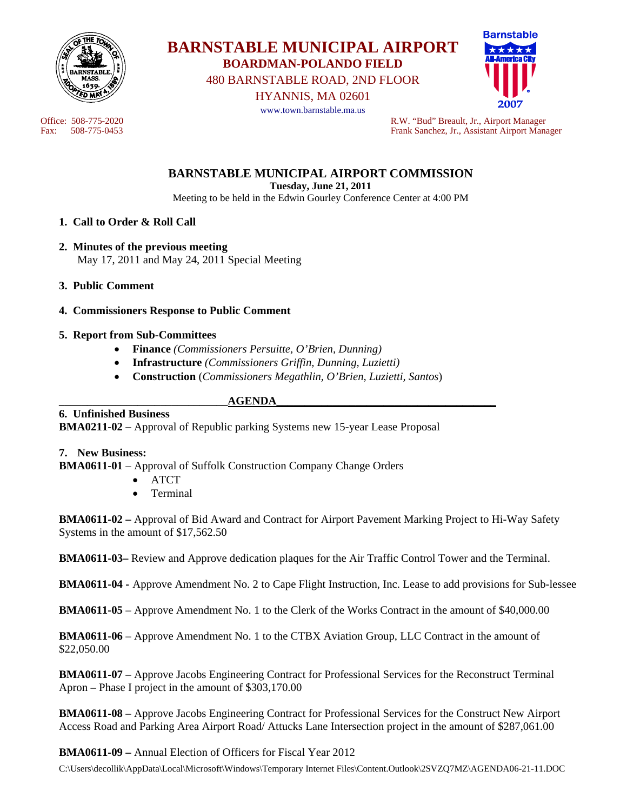

**BARNSTABLE MUNICIPAL AIRPORT BOARDMAN-POLANDO FIELD** 

480 BARNSTABLE ROAD, 2ND FLOOR

HYANNIS, MA 02601



www.town.barnstable.ma.us

Office: 508-775-2020<br>
Fax: 508-775-0453<br>
Frank Sanchez, Jr., Assistant Airport Manager Frank Sanchez, Jr., Assistant Airport Manager

> **BARNSTABLE MUNICIPAL AIRPORT COMMISSION Tuesday, June 21, 2011**

> Meeting to be held in the Edwin Gourley Conference Center at 4:00 PM

## **1. Call to Order & Roll Call**

- **2. Minutes of the previous meeting**  May 17, 2011 and May 24, 2011 Special Meeting
- **3. Public Comment**
- **4. Commissioners Response to Public Comment**

#### **5. Report from Sub-Committees**

- **Finance** *(Commissioners Persuitte, O'Brien, Dunning)*
- **Infrastructure** *(Commissioners Griffin, Dunning, Luzietti)*
- **Construction** (*Commissioners Megathlin, O'Brien, Luzietti, Santos*)

#### **\_\_\_\_\_\_\_\_\_\_\_\_\_\_\_\_\_\_\_\_\_\_\_\_\_\_\_\_\_\_AGENDA\_\_\_\_\_\_\_\_\_\_\_\_\_\_\_\_\_\_\_\_\_\_\_\_\_\_\_\_\_\_\_\_\_\_\_\_\_\_\_**

#### **6. Unfinished Business**

**BMA0211-02 –** Approval of Republic parking Systems new 15-year Lease Proposal

#### **7. New Business:**

**BMA0611-01** – Approval of Suffolk Construction Company Change Orders

- **ATCT**
- Terminal

**BMA0611-02 –** Approval of Bid Award and Contract for Airport Pavement Marking Project to Hi-Way Safety Systems in the amount of \$17,562.50

**BMA0611-03–** Review and Approve dedication plaques for the Air Traffic Control Tower and the Terminal.

**BMA0611-04 -** Approve Amendment No. 2 to Cape Flight Instruction, Inc. Lease to add provisions for Sub-lessee

**BMA0611-05** – Approve Amendment No. 1 to the Clerk of the Works Contract in the amount of \$40,000.00

**BMA0611-06** – Approve Amendment No. 1 to the CTBX Aviation Group, LLC Contract in the amount of \$22,050.00

**BMA0611-07** – Approve Jacobs Engineering Contract for Professional Services for the Reconstruct Terminal Apron – Phase I project in the amount of \$303,170.00

**BMA0611-08** – Approve Jacobs Engineering Contract for Professional Services for the Construct New Airport Access Road and Parking Area Airport Road/ Attucks Lane Intersection project in the amount of \$287,061.00

## **BMA0611-09 –** Annual Election of Officers for Fiscal Year 2012

C:\Users\decollik\AppData\Local\Microsoft\Windows\Temporary Internet Files\Content.Outlook\2SVZQ7MZ\AGENDA06-21-11.DOC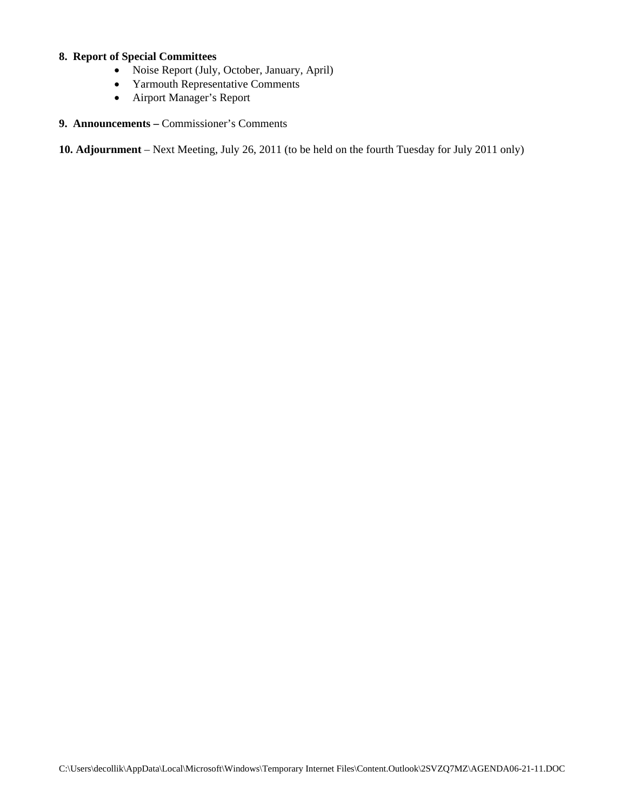# **8. Report of Special Committees**

- Noise Report (July, October, January, April)
- Yarmouth Representative Comments
- Airport Manager's Report
- **9. Announcements** Commissioner's Comments

**10. Adjournment** – Next Meeting, July 26, 2011 (to be held on the fourth Tuesday for July 2011 only)